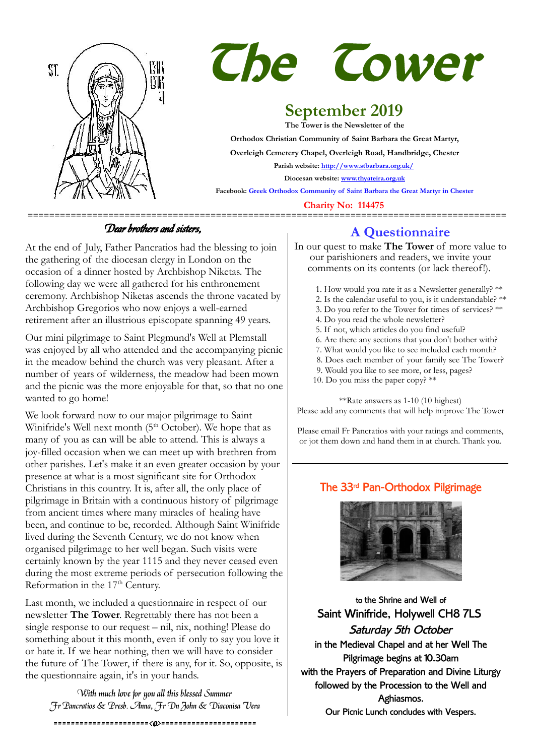



# **September 2019**

**The Tower is the Newsletter of the Orthodox Christian Community of Saint Barbara the Great Martyr, Overleigh Cemetery Chapel, Overleigh Road, Handbridge, Chester Parish website:<http://www.stbarbara.org.uk/> Diocesan website: [www.thyateira.org.uk](http://www.thyateira.org.uk/) Facebook: Greek Orthodox Community of Saint Barbara the Great Martyr in Chester**

 **Charity No: 114475**

### Dear brothers and sisters,

At the end of July, Father Pancratios had the blessing to join the gathering of the diocesan clergy in London on the occasion of a dinner hosted by Archbishop Niketas. The following day we were all gathered for his enthronement ceremony. Archbishop Niketas ascends the throne vacated by Archbishop Gregorios who now enjoys a well-earned retirement after an illustrious episcopate spanning 49 years.

Our mini pilgrimage to Saint Plegmund's Well at Plemstall was enjoyed by all who attended and the accompanying picnic in the meadow behind the church was very pleasant. After a number of years of wilderness, the meadow had been mown and the picnic was the more enjoyable for that, so that no one wanted to go home!

We look forward now to our major pilgrimage to Saint Winifride's Well next month  $(5<sup>th</sup> October)$ . We hope that as many of you as can will be able to attend. This is always a joy-filled occasion when we can meet up with brethren from other parishes. Let's make it an even greater occasion by your presence at what is a most significant site for Orthodox Christians in this country. It is, after all, the only place of pilgrimage in Britain with a continuous history of pilgrimage from ancient times where many miracles of healing have been, and continue to be, recorded. Although Saint Winifride lived during the Seventh Century, we do not know when organised pilgrimage to her well began. Such visits were certainly known by the year 1115 and they never ceased even during the most extreme periods of persecution following the Reformation in the 17<sup>th</sup> Century.

Last month, we included a questionnaire in respect of our newsletter **The Tower**. Regrettably there has not been a single response to our request – nil, nix, nothing! Please do something about it this month, even if only to say you love it or hate it. If we hear nothing, then we will have to consider the future of The Tower, if there is any, for it. So, opposite, is the questionnaire again, it's in your hands.

With much love for you all this blessed Summer Fr Pancratios & Presb. Anna, Fr Dn John & Diaconisa Vera

======================<o>======================

## **A Questionnaire**

In our quest to make **The Tower** of more value to our parishioners and readers, we invite your comments on its contents (or lack thereof!).

- 1. How would you rate it as a Newsletter generally? \*\*
- 2. Is the calendar useful to you, is it understandable? \*\*
- 3. Do you refer to the Tower for times of services? \*\*
- 4. Do you read the whole newsletter?
- 5. If not, which articles do you find useful?
- 6. Are there any sections that you don't bother with?
- 7. What would you like to see included each month?
- 8. Does each member of your family see The Tower?
- 9. Would you like to see more, or less, pages?
- 10. Do you miss the paper copy?  $**$

\*\*Rate answers as 1-10 (10 highest) Please add any comments that will help improve The Tower

Please email Fr Pancratios with your ratings and comments, or jot them down and hand them in at church. Thank you.

### The 33rd Pan-Orthodox Pilgrimage



to the Shrine and Well of Saint Winifride, Holywell CH8 7LS Saturday 5th October in the Medieval Chapel and at her Well The Pilgrimage begins at 10.30am with the Prayers of Preparation and Divine Liturgy followed by the Procession to the Well and Aghiasmos. Our Picnic Lunch concludes with Vespers.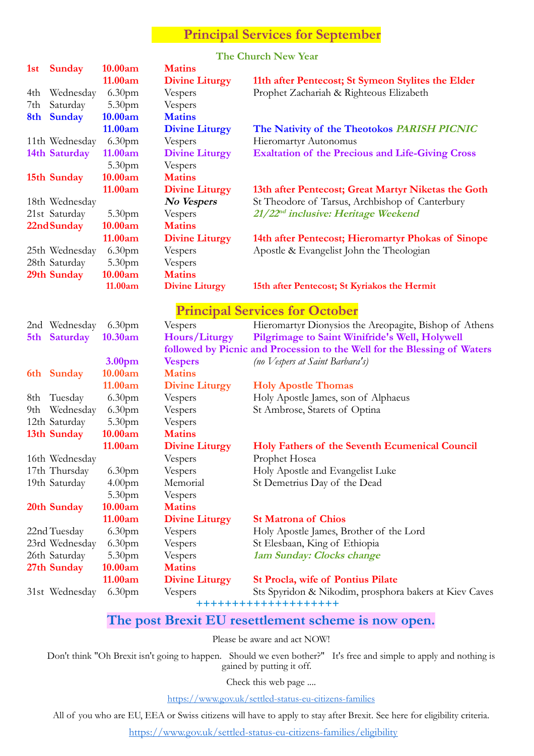### **Principal Services for September**

#### **The Church New Year**

| 1st | Sunday         | 10.00am            | <b>Matins</b>         |                                                                          |
|-----|----------------|--------------------|-----------------------|--------------------------------------------------------------------------|
|     |                | 11.00am            | <b>Divine Liturgy</b> | 11th after Pentecost; St Symeon Stylites the Elder                       |
| 4th | Wednesday      | 6.30 <sub>pm</sub> | Vespers               | Prophet Zachariah & Righteous Elizabeth                                  |
| 7th | Saturday       | 5.30 <sub>pm</sub> | Vespers               |                                                                          |
| 8th | <b>Sunday</b>  | 10.00am            | <b>Matins</b>         |                                                                          |
|     |                | 11.00am            | <b>Divine Liturgy</b> | The Nativity of the Theotokos PARISH PICNIC                              |
|     | 11th Wednesday | 6.30 <sub>pm</sub> | Vespers               | Hieromartyr Autonomus                                                    |
|     | 14th Saturday  | 11.00am            | <b>Divine Liturgy</b> | <b>Exaltation of the Precious and Life-Giving Cross</b>                  |
|     |                | 5.30 <sub>pm</sub> | Vespers               |                                                                          |
|     | 15th Sunday    | 10.00am            | <b>Matins</b>         |                                                                          |
|     |                | 11.00am            | <b>Divine Liturgy</b> | 13th after Pentecost; Great Martyr Niketas the Goth                      |
|     | 18th Wednesday |                    | No Vespers            | St Theodore of Tarsus, Archbishop of Canterbury                          |
|     | 21st Saturday  | 5.30pm             | Vespers               | 21/22 <sup>nd</sup> inclusive: Heritage Weekend                          |
|     | 22nd Sunday    | 10.00am            | <b>Matins</b>         |                                                                          |
|     |                | 11.00am            | <b>Divine Liturgy</b> | 14th after Pentecost; Hieromartyr Phokas of Sinope                       |
|     | 25th Wednesday | 6.30 <sub>pm</sub> | Vespers               | Apostle & Evangelist John the Theologian                                 |
|     | 28th Saturday  | 5.30 <sub>pm</sub> | Vespers               |                                                                          |
|     | 29th Sunday    | 10.00am            | <b>Matins</b>         |                                                                          |
|     |                | 11.00am            | <b>Divine Liturgy</b> | 15th after Pentecost; St Kyriakos the Hermit                             |
|     |                |                    |                       |                                                                          |
|     |                |                    |                       | <b>Principal Services for October</b>                                    |
|     | 2nd Wednesday  | 6.30 <sub>pm</sub> | Vespers               | Hieromartyr Dionysios the Areopagite, Bishop of Athens                   |
|     | 5th Saturday   | 10.30am            | Hours/Liturgy         | Pilgrimage to Saint Winifride's Well, Holywell                           |
|     |                |                    |                       | followed by Picnic and Procession to the Well for the Blessing of Waters |
|     |                | 3.00pm             | <b>Vespers</b>        | (no Vespers at Saint Barbara's)                                          |
|     | 6th Sunday     | 10.00am            | <b>Matins</b>         |                                                                          |
|     |                | 11.00am            | <b>Divine Liturgy</b> | <b>Holy Apostle Thomas</b>                                               |
| 8th | Tuesday        | 6.30 <sub>pm</sub> | Vespers               | Holy Apostle James, son of Alphaeus                                      |
| 9th | Wednesday      | 6.30 <sub>pm</sub> | Vespers               | St Ambrose, Starets of Optina                                            |
|     | 12th Saturday  | 5.30pm             | Vespers               |                                                                          |
|     | 13th Sunday    | 10.00am            | <b>Matins</b>         |                                                                          |
|     |                | 11.00am            | <b>Divine Liturgy</b> | Holy Fathers of the Seventh Ecumenical Council                           |
|     | 16th Wednesday |                    | Vespers               | Prophet Hosea                                                            |
|     | 17th Thursday  | 6.30 <sub>pm</sub> | Vespers               | Holy Apostle and Evangelist Luke                                         |
|     | 19th Saturday  | 4.00 <sub>pm</sub> | Memorial              | St Demetrius Day of the Dead                                             |
|     |                | 5.30 <sub>pm</sub> | Vespers               |                                                                          |
|     | 20th Sunday    | 10.00am            | <b>Matins</b>         |                                                                          |
|     |                | 11.00am            | <b>Divine Liturgy</b> | <b>St Matrona of Chios</b>                                               |
|     | 22nd Tuesday   | 6.30pm             | Vespers               | Holy Apostle James, Brother of the Lord                                  |
|     | 23rd Wednesday | 6.30 <sub>pm</sub> | Vespers               | St Elesbaan, King of Ethiopia                                            |
|     | 26th Saturday  | 5.30 <sub>pm</sub> | Vespers               | 1am Sunday: Clocks change                                                |
|     | 27th Sunday    | 10.00am            | <b>Matins</b>         |                                                                          |
|     |                | 11.00am            | <b>Divine Liturgy</b> | <b>St Procla, wife of Pontius Pilate</b>                                 |
|     | 31st Wednesday | 6.30 <sub>pm</sub> | Vespers               | Sts Spyridon & Nikodim, prosphora bakers at Kiev Caves                   |
|     |                |                    |                       | ++++++++++++++++++++                                                     |

### **The post Brexit EU resettlement scheme is now open.**

Please be aware and act NOW!

Don't think "Oh Brexit isn't going to happen. Should we even bother?" It's free and simple to apply and nothing is gained by putting it off.

Check this web page ....

<https://www.gov.uk/settled-status-eu-citizens-families>

All of you who are EU, EEA or Swiss citizens will have to apply to stay after Brexit. See here for eligibility criteria.

<https://www.gov.uk/settled-status-eu-citizens-families/eligibility>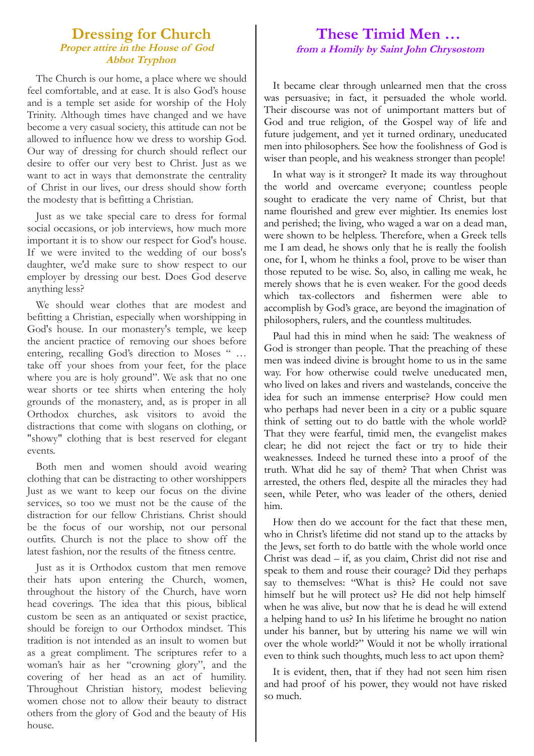#### **Dressing for Church Proper attire in the House of God Abbot Tryphon**

The Church is our home, a place where we should feel comfortable, and at ease. It is also God's house and is a temple set aside for worship of the Holy Trinity. Although times have changed and we have become a very casual society, this attitude can not be allowed to influence how we dress to worship God. Our way of dressing for church should reflect our desire to offer our very best to Christ. Just as we want to act in ways that demonstrate the centrality of Christ in our lives, our dress should show forth the modesty that is befitting a Christian.

Just as we take special care to dress for formal social occasions, or job interviews, how much more important it is to show our respect for God's house. If we were invited to the wedding of our boss's daughter, we'd make sure to show respect to our employer by dressing our best. Does God deserve anything less?

We should wear clothes that are modest and befitting a Christian, especially when worshipping in God's house. In our monastery's temple, we keep the ancient practice of removing our shoes before entering, recalling God's direction to Moses " … take off your shoes from your feet, for the place where you are is holy ground". We ask that no one wear shorts or tee shirts when entering the holy grounds of the monastery, and, as is proper in all Orthodox churches, ask visitors to avoid the distractions that come with slogans on clothing, or "showy" clothing that is best reserved for elegant events.

Both men and women should avoid wearing clothing that can be distracting to other worshippers Just as we want to keep our focus on the divine services, so too we must not be the cause of the distraction for our fellow Christians. Christ should be the focus of our worship, not our personal outfits. Church is not the place to show off the latest fashion, nor the results of the fitness centre.

Just as it is Orthodox custom that men remove their hats upon entering the Church, women, throughout the history of the Church, have worn head coverings. The idea that this pious, biblical custom be seen as an antiquated or sexist practice, should be foreign to our Orthodox mindset. This tradition is not intended as an insult to women but as a great compliment. The scriptures refer to a woman's hair as her "crowning glory", and the covering of her head as an act of humility. Throughout Christian history, modest believing women chose not to allow their beauty to distract others from the glory of God and the beauty of His house.

### **These Timid Men … from a Homily by Saint John Chrysostom**

It became clear through unlearned men that the cross was persuasive; in fact, it persuaded the whole world. Their discourse was not of unimportant matters but of God and true religion, of the Gospel way of life and future judgement, and yet it turned ordinary, uneducated men into philosophers. See how the foolishness of God is wiser than people, and his weakness stronger than people!

In what way is it stronger? It made its way throughout the world and overcame everyone; countless people sought to eradicate the very name of Christ, but that name flourished and grew ever mightier. Its enemies lost and perished; the living, who waged a war on a dead man, were shown to be helpless. Therefore, when a Greek tells me I am dead, he shows only that he is really the foolish one, for I, whom he thinks a fool, prove to be wiser than those reputed to be wise. So, also, in calling me weak, he merely shows that he is even weaker. For the good deeds which tax-collectors and fishermen were able to accomplish by God's grace, are beyond the imagination of philosophers, rulers, and the countless multitudes.

Paul had this in mind when he said: The weakness of God is stronger than people. That the preaching of these men was indeed divine is brought home to us in the same way. For how otherwise could twelve uneducated men, who lived on lakes and rivers and wastelands, conceive the idea for such an immense enterprise? How could men who perhaps had never been in a city or a public square think of setting out to do battle with the whole world? That they were fearful, timid men, the evangelist makes clear; he did not reject the fact or try to hide their weaknesses. Indeed he turned these into a proof of the truth. What did he say of them? That when Christ was arrested, the others fled, despite all the miracles they had seen, while Peter, who was leader of the others, denied him.

How then do we account for the fact that these men, who in Christ's lifetime did not stand up to the attacks by the Jews, set forth to do battle with the whole world once Christ was dead – if, as you claim, Christ did not rise and speak to them and rouse their courage? Did they perhaps say to themselves: "What is this? He could not save himself but he will protect us? He did not help himself when he was alive, but now that he is dead he will extend a helping hand to us? In his lifetime he brought no nation under his banner, but by uttering his name we will win over the whole world?" Would it not be wholly irrational even to think such thoughts, much less to act upon them?

It is evident, then, that if they had not seen him risen and had proof of his power, they would not have risked so much.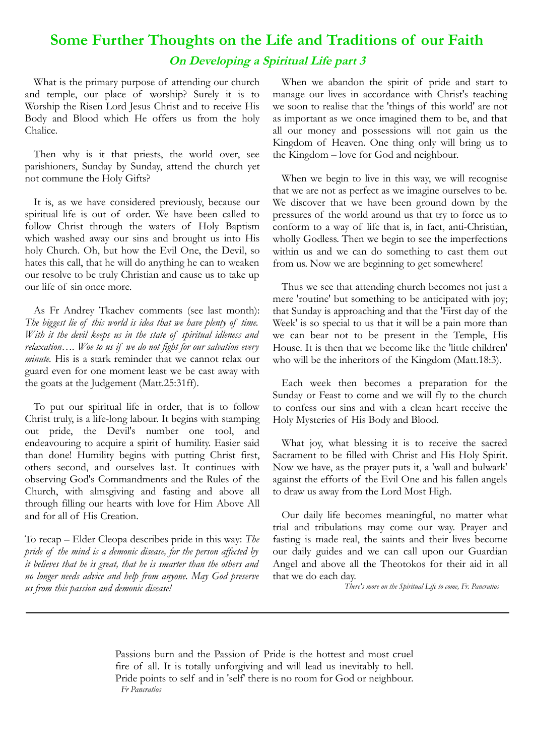# **Some Further Thoughts on the Life and Traditions of our Faith On Developing a Spiritual Life part 3**

What is the primary purpose of attending our church and temple, our place of worship? Surely it is to Worship the Risen Lord Jesus Christ and to receive His Body and Blood which He offers us from the holy Chalice.

Then why is it that priests, the world over, see parishioners, Sunday by Sunday, attend the church yet not commune the Holy Gifts?

It is, as we have considered previously, because our spiritual life is out of order. We have been called to follow Christ through the waters of Holy Baptism which washed away our sins and brought us into His holy Church. Oh, but how the Evil One, the Devil, so hates this call, that he will do anything he can to weaken our resolve to be truly Christian and cause us to take up our life of sin once more.

As Fr Andrey Tkachev comments (see last month): *The biggest lie of this world is idea that we have plenty of time. With it the devil keeps us in the state of spiritual idleness and relaxation…. Woe to us if we do not fight for our salvation every minute*. His is a stark reminder that we cannot relax our guard even for one moment least we be cast away with the goats at the Judgement (Matt.25:31ff).

To put our spiritual life in order, that is to follow Christ truly, is a life-long labour. It begins with stamping out pride, the Devil's number one tool, and endeavouring to acquire a spirit of humility. Easier said than done! Humility begins with putting Christ first, others second, and ourselves last. It continues with observing God's Commandments and the Rules of the Church, with almsgiving and fasting and above all through filling our hearts with love for Him Above All and for all of His Creation.

To recap – Elder Cleopa describes pride in this way: *The pride of the mind is a demonic disease, for the person affected by it believes that he is great, that he is smarter than the others and no longer needs advice and help from anyone. May God preserve us from this passion and demonic disease!*

When we abandon the spirit of pride and start to manage our lives in accordance with Christ's teaching we soon to realise that the 'things of this world' are not as important as we once imagined them to be, and that all our money and possessions will not gain us the Kingdom of Heaven. One thing only will bring us to the Kingdom – love for God and neighbour.

When we begin to live in this way, we will recognise that we are not as perfect as we imagine ourselves to be. We discover that we have been ground down by the pressures of the world around us that try to force us to conform to a way of life that is, in fact, anti-Christian, wholly Godless. Then we begin to see the imperfections within us and we can do something to cast them out from us. Now we are beginning to get somewhere!

Thus we see that attending church becomes not just a mere 'routine' but something to be anticipated with joy; that Sunday is approaching and that the 'First day of the Week' is so special to us that it will be a pain more than we can bear not to be present in the Temple, His House. It is then that we become like the 'little children' who will be the inheritors of the Kingdom (Matt.18:3).

Each week then becomes a preparation for the Sunday or Feast to come and we will fly to the church to confess our sins and with a clean heart receive the Holy Mysteries of His Body and Blood.

What joy, what blessing it is to receive the sacred Sacrament to be filled with Christ and His Holy Spirit. Now we have, as the prayer puts it, a 'wall and bulwark' against the efforts of the Evil One and his fallen angels to draw us away from the Lord Most High.

Our daily life becomes meaningful, no matter what trial and tribulations may come our way. Prayer and fasting is made real, the saints and their lives become our daily guides and we can call upon our Guardian Angel and above all the Theotokos for their aid in all that we do each day.

*There's more on the Spiritual Life to come, Fr. Pancratios* 

Passions burn and the Passion of Pride is the hottest and most cruel fire of all. It is totally unforgiving and will lead us inevitably to hell. Pride points to self and in 'self' there is no room for God or neighbour. *Fr Pancratios*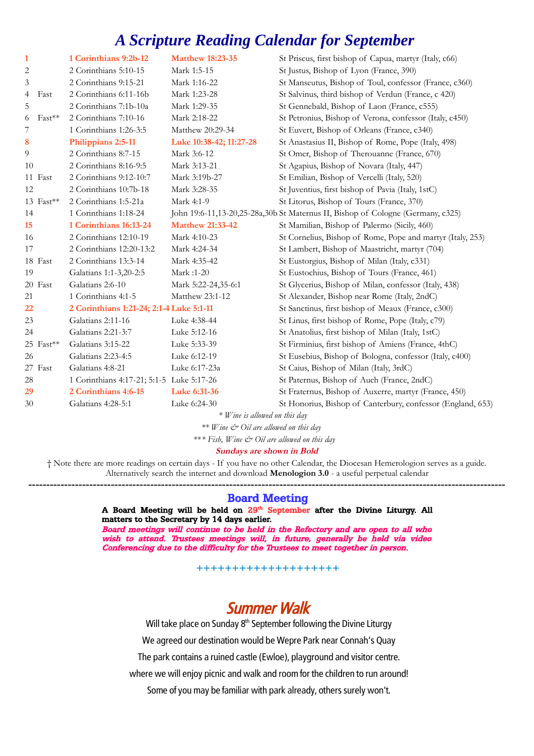# *A Scripture Reading Calendar for September*

| $\mathbf{1}$ |             | 1 Corinthians 9:2b-12                     | <b>Matthew 18:23-35</b> | St Priscus, first bishop of Capua, martyr (Italy, c66)                          |
|--------------|-------------|-------------------------------------------|-------------------------|---------------------------------------------------------------------------------|
| 2            |             | 2 Corinthians 5:10-15                     | Mark 1:5-15             | St Justus, Bishop of Lyon (France, 390)                                         |
| 3            |             | 2 Corinthians 9:15-21                     | Mark 1:16-22            | St Manseutus, Bishop of Toul, confessor (France, c360)                          |
| 4            | Fast        | 2 Corinthians 6:11-16b                    | Mark 1:23-28            | St Salvinus, third bishop of Verdun (France, c 420)                             |
| 5            |             | 2 Corinthians 7:1b-10a                    | Mark 1:29-35            | St Gennebald, Bishop of Laon (France, c555)                                     |
| 6            | $Fast***$   | 2 Corinthians 7:10-16                     | Mark 2:18-22            | St Petronius, Bishop of Verona, confessor (Italy, c450)                         |
| 7            |             | 1 Corinthians 1:26-3:5                    | Matthew 20:29-34        | St Euvert, Bishop of Orleans (France, c340)                                     |
| 8            |             | Philippians 2:5-11                        | Luke 10:38-42; 11:27-28 | St Anastasius II, Bishop of Rome, Pope (Italy, 498)                             |
| 9            |             | 2 Corinthians 8:7-15                      | Mark 3:6-12             | St Omer, Bishop of Therouanne (France, 670)                                     |
| 10           |             | 2 Corinthians 8:16-9:5                    | Mark 3:13-21            | St Agapius, Bishop of Novara (Italy, 447)                                       |
|              | 11 Fast     | 2 Corinthians 9:12-10:7                   | Mark 3:19b-27           | St Emilian, Bishop of Vercelli (Italy, 520)                                     |
| 12           |             | 2 Corinthians 10:7b-18                    | Mark 3:28-35            | St Juventius, first bishop of Pavia (Italy, 1stC)                               |
|              | 13 Fast**   | 2 Corinthians 1:5-21a                     | Mark 4:1-9              | St Litorus, Bishop of Tours (France, 370)                                       |
| 14           |             | 1 Corinthians 1:18-24                     |                         | John 19:6-11,13-20,25-28a,30b St Maternus II, Bishop of Cologne (Germany, c325) |
| 15           |             | 1 Corinthians 16:13-24                    | <b>Matthew 21:33-42</b> | St Mamilian, Bishop of Palermo (Sicily, 460)                                    |
| 16           |             | 2 Corinthians 12:10-19                    | Mark 4:10-23            | St Cornelius, Bishop of Rome, Pope and martyr (Italy, 253)                      |
| 17           |             | 2 Corinthians 12:20-13:2                  | Mark 4:24-34            | St Lambert, Bishop of Maastricht, martyr (704)                                  |
|              | 18 Fast     | 2 Corinthians 13:3-14                     | Mark 4:35-42            | St Eustorgius, Bishop of Milan (Italy, c331)                                    |
| 19           |             | Galatians 1:1-3,20-2:5                    | Mark :1-20              | St Eustochius, Bishop of Tours (France, 461)                                    |
|              | 20 Fast     | Galatians 2:6-10                          | Mark 5:22-24,35-6:1     | St Glycerius, Bishop of Milan, confessor (Italy, 438)                           |
| 21           |             | 1 Corinthians 4:1-5                       | Matthew 23:1-12         | St Alexander, Bishop near Rome (Italy, 2ndC)                                    |
| 22           |             | 2 Corinthians 1:21-24; 2:1-4 Luke 5:1-11  |                         | St Sanctinus, first bishop of Meaux (France, c300)                              |
| 23           |             | Galatians 2:11-16                         | Luke 4:38-44            | St Linus, first bishop of Rome, Pope (Italy, c79)                               |
| 24           |             | Galatians 2:21-3:7                        | Luke 5:12-16            | St Anatolius, first bishop of Milan (Italy, 1stC)                               |
|              | $25$ Fast** | Galatians 3:15-22                         | Luke 5:33-39            | St Firminius, first bishop of Amiens (France, 4thC)                             |
| 26           |             | Galatians 2:23-4:5                        | Luke 6:12-19            | St Eusebius, Bishop of Bologna, confessor (Italy, c400)                         |
|              | 27 Fast     | Galatians 4:8-21                          | Luke 6:17-23a           | St Caius, Bishop of Milan (Italy, 3rdC)                                         |
| 28           |             | 1 Corinthians 4:17-21; 5:1-5 Luke 5:17-26 |                         | St Paternus, Bishop of Auch (France, 2ndC)                                      |
| 29           |             | 2 Corinthians 4:6-15                      | Luke 6:31-36            | St Fraternus, Bishop of Auxerre, martyr (France, 450)                           |
| 30           |             | Galatians 4:28-5:1                        | Luke 6:24-30            | St Honorius, Bishop of Canterbury, confessor (England, 653)                     |
|              |             |                                           |                         |                                                                                 |

*\* Wine is allowed on this day*

*\*\* Wine & Oil are allowed on this day* 

\*\**\* Fish, Wine & Oil are allowed on this day* 

**Sundays are shown in Bold**

† Note there are more readings on certain days - If you have no other Calendar, the Diocesan Hemerologion serves as a guide. Alternatively search the internet and download **Menologion 3.0** - a useful perpetual calendar

**-------------------------------------------------------------------------------------------------------------------------------------** Board Meeting

> A Board Meeting will be held on 29<sup>th</sup> September after the Divine Liturgy. All matters to the Secretary by 14 days earlier.

> Board meetings will continue to be held in the Refectory and are open to all who wish to attend. Trustees meetings will, in future, generally be held via video Conferencing due to the difficulty for the Trustees to meet together in person.

> > **++++++++++++++++++++**

## Summer Walk

Will take place on Sunday  $8<sup>th</sup>$  September following the Divine Liturgy

We agreed our destination would be Wepre Park near Connah's Quay

The park contains a ruined castle (Ewloe), playground and visitor centre.

where we will enjoy picnic and walk and room for the children to run around!

Some of you may be familiar with park already, others surely won't.